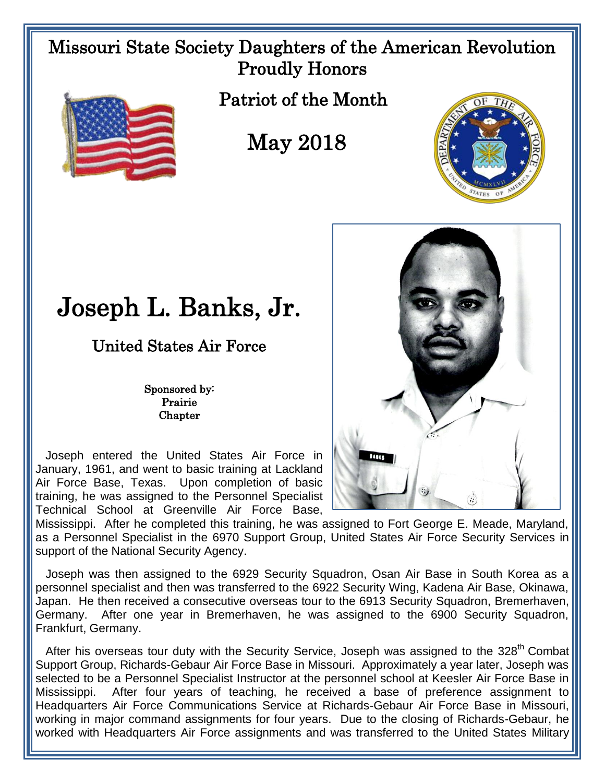## Missouri State Society Daughters of the American Revolution Proudly Honors



Patriot of the Month

## May 2018



## Joseph L. Banks, Jr.

United States Air Force

Sponsored by: Prairie **Chapter** 

 Joseph entered the United States Air Force in January, 1961, and went to basic training at Lackland Air Force Base, Texas. Upon completion of basic training, he was assigned to the Personnel Specialist Technical School at Greenville Air Force Base,

Mississippi. After he completed this training, he was assigned to Fort George E. Meade, Maryland, as a Personnel Specialist in the 6970 Support Group, United States Air Force Security Services in support of the National Security Agency.

 Joseph was then assigned to the 6929 Security Squadron, Osan Air Base in South Korea as a personnel specialist and then was transferred to the 6922 Security Wing, Kadena Air Base, Okinawa, Japan. He then received a consecutive overseas tour to the 6913 Security Squadron, Bremerhaven, Germany. After one year in Bremerhaven, he was assigned to the 6900 Security Squadron, Frankfurt, Germany.

After his overseas tour duty with the Security Service, Joseph was assigned to the 328<sup>th</sup> Combat Support Group, Richards-Gebaur Air Force Base in Missouri. Approximately a year later, Joseph was selected to be a Personnel Specialist Instructor at the personnel school at Keesler Air Force Base in Mississippi. After four years of teaching, he received a base of preference assignment to Headquarters Air Force Communications Service at Richards-Gebaur Air Force Base in Missouri, working in major command assignments for four years. Due to the closing of Richards-Gebaur, he worked with Headquarters Air Force assignments and was transferred to the United States Military